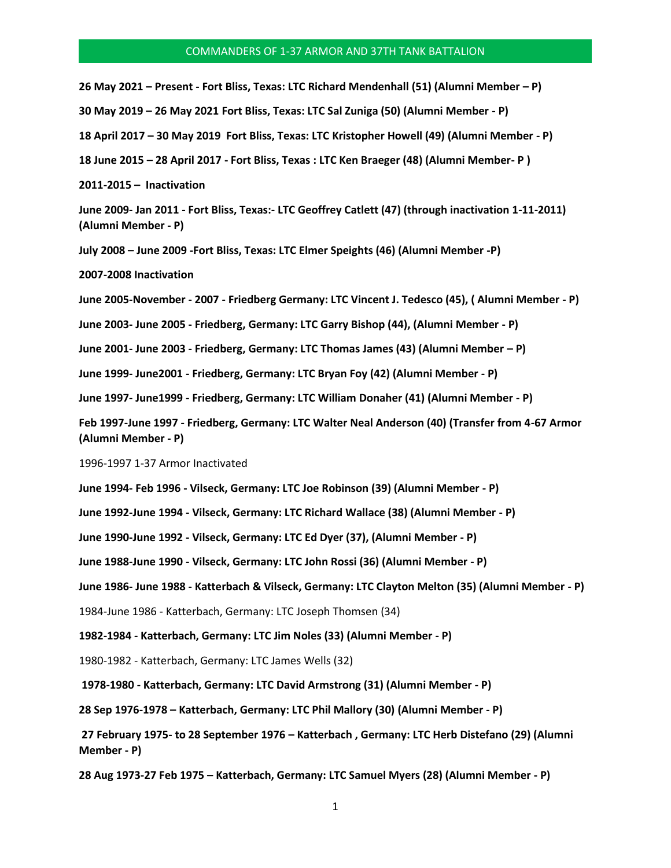## COMMANDERS OF 1-37 ARMOR AND 37TH TANK BATTALION

**26 May 2021 – Present - Fort Bliss, Texas: LTC Richard Mendenhall (51) (Alumni Member – P)**

**30 May 2019 – 26 May 2021 Fort Bliss, Texas: LTC Sal Zuniga (50) (Alumni Member - P)** 

**18 April 2017 – 30 May 2019 Fort Bliss, Texas: LTC Kristopher Howell (49) (Alumni Member - P)** 

**18 June 2015 – 28 April 2017 - Fort Bliss, Texas : LTC Ken Braeger (48) (Alumni Member- P )** 

**2011-2015 – Inactivation** 

**June 2009- Jan 2011 - Fort Bliss, Texas:- LTC Geoffrey Catlett (47) (through inactivation 1-11-2011) (Alumni Member - P)** 

**July 2008 – June 2009 -Fort Bliss, Texas: LTC Elmer Speights (46) (Alumni Member -P)** 

**2007-2008 Inactivation** 

**June 2005-November - 2007 - Friedberg Germany: LTC Vincent J. Tedesco (45), ( Alumni Member - P)** 

**June 2003- June 2005 - Friedberg, Germany: LTC Garry Bishop (44), (Alumni Member - P)** 

**June 2001- June 2003 - Friedberg, Germany: LTC Thomas James (43) (Alumni Member – P)** 

**June 1999- June2001 - Friedberg, Germany: LTC Bryan Foy (42) (Alumni Member - P)** 

**June 1997- June1999 - Friedberg, Germany: LTC William Donaher (41) (Alumni Member - P)** 

**Feb 1997-June 1997 - Friedberg, Germany: LTC Walter Neal Anderson (40) (Transfer from 4-67 Armor (Alumni Member - P)** 

1996-1997 1-37 Armor Inactivated

**June 1994- Feb 1996 - Vilseck, Germany: LTC Joe Robinson (39) (Alumni Member - P)** 

**June 1992-June 1994 - Vilseck, Germany: LTC Richard Wallace (38) (Alumni Member - P)** 

**June 1990-June 1992 - Vilseck, Germany: LTC Ed Dyer (37), (Alumni Member - P)** 

**June 1988-June 1990 - Vilseck, Germany: LTC John Rossi (36) (Alumni Member - P)** 

**June 1986- June 1988 - Katterbach & Vilseck, Germany: LTC Clayton Melton (35) (Alumni Member - P)** 

1984-June 1986 - Katterbach, Germany: LTC Joseph Thomsen (34)

**1982-1984 - Katterbach, Germany: LTC Jim Noles (33) (Alumni Member - P)** 

1980-1982 - Katterbach, Germany: LTC James Wells (32)

**1978-1980 - Katterbach, Germany: LTC David Armstrong (31) (Alumni Member - P)** 

**28 Sep 1976-1978 – Katterbach, Germany: LTC Phil Mallory (30) (Alumni Member - P)**

**27 February 1975- to 28 September 1976 – Katterbach , Germany: LTC Herb Distefano (29) (Alumni Member - P)** 

**28 Aug 1973-27 Feb 1975 – Katterbach, Germany: LTC Samuel Myers (28) (Alumni Member - P)**